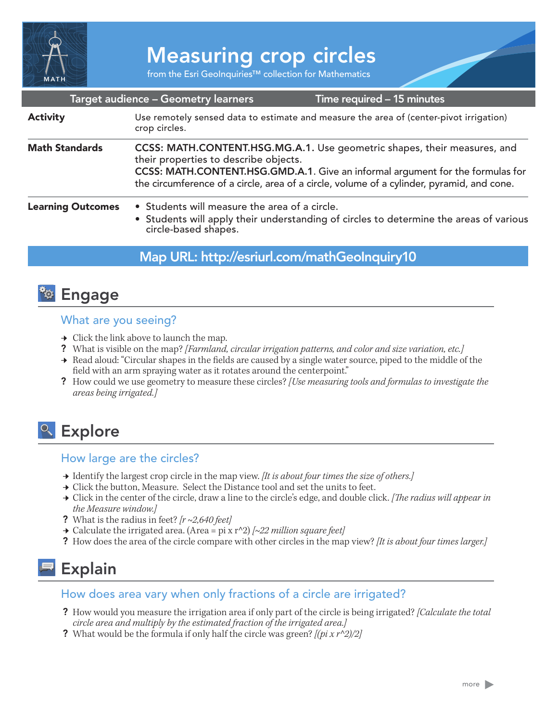

# Measuring crop circles

from the Esri GeoInquiries™ collection for Mathematics

|                          | Target audience - Geometry learners                                                                                                                                                                                                                                                              | Time required - 15 minutes                                                                                  |
|--------------------------|--------------------------------------------------------------------------------------------------------------------------------------------------------------------------------------------------------------------------------------------------------------------------------------------------|-------------------------------------------------------------------------------------------------------------|
| <b>Activity</b>          | Use remotely sensed data to estimate and measure the area of (center-pivot irrigation)<br>crop circles.                                                                                                                                                                                          |                                                                                                             |
| <b>Math Standards</b>    | CCSS: MATH.CONTENT.HSG.MG.A.1. Use geometric shapes, their measures, and<br>their properties to describe objects.<br>CCSS: MATH.CONTENT.HSG.GMD.A.1. Give an informal argument for the formulas for<br>the circumference of a circle, area of a circle, volume of a cylinder, pyramid, and cone. |                                                                                                             |
| <b>Learning Outcomes</b> | • Students will measure the area of a circle.                                                                                                                                                                                                                                                    | • Students will apply their understanding of circles to determine the areas of various circle-based shapes. |

### Map URL: http://esriurl.com/mathGeoInquiry10

### <mark>ී Engage</mark>

#### What are you seeing?

- $\rightarrow$  Click the link above to launch the map.
- ? What is visible on the map? *[Farmland, circular irrigation patterns, and color and size variation, etc.]*
- → Read aloud: "Circular shapes in the fields are caused by a single water source, piped to the middle of the field with an arm spraying water as it rotates around the centerpoint."
- ? How could we use geometry to measure these circles? *[Use measuring tools and formulas to investigate the areas being irrigated.]*

## <sup>o</sup> Explore

#### How large are the circles?

- ʅ Identify the largest crop circle in the map view. *[It is about four times the size of others.]*
- → Click the button, Measure. Select the Distance tool and set the units to feet.
- ʅ Click in the center of the circle, draw a line to the circle's edge, and double click. *[The radius will appear in the Measure window.]*
- ? What is the radius in feet? *[r ~2,640 feet]*
- ʅ Calculate the irrigated area. (Area = pi x r^2) *[~22 million square feet]*
- ? How does the area of the circle compare with other circles in the map view? *[It is about four times larger.]*

## Explain

#### How does area vary when only fractions of a circle are irrigated?

- ? How would you measure the irrigation area if only part of the circle is being irrigated? *[Calculate the total circle area and multiply by the estimated fraction of the irrigated area.]*
- ? What would be the formula if only half the circle was green? *[(pi x r^2)/2]*